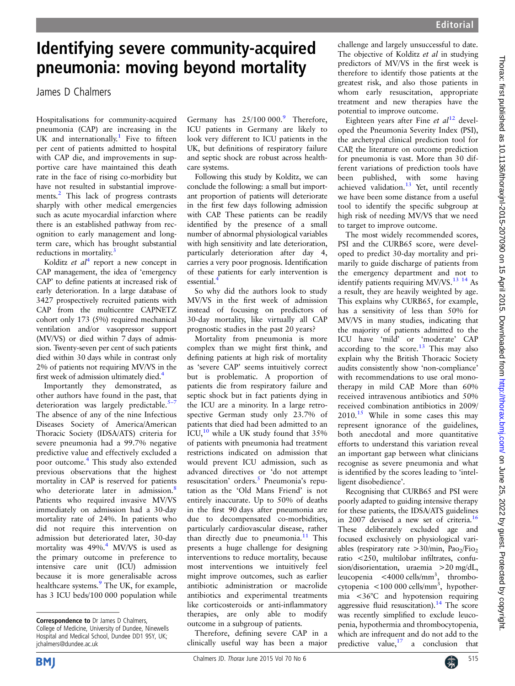## Identifying severe community-acquired pneumonia: moving beyond mortality

James D Chalmers

Hospitalisations for community-acquired pneumonia (CAP) are increasing in the UK and internationally.<sup>[1](#page-1-0)</sup> Five to fifteen per cent of patients admitted to hospital with CAP die, and improvements in supportive care have maintained this death rate in the face of rising co-morbidity but have not resulted in substantial improve-ments.<sup>[2](#page-1-0)</sup> This lack of progress contrasts sharply with other medical emergencies such as acute myocardial infarction where there is an established pathway from recognition to early management and longterm care, which has brought substantial reductions in mortality.<sup>[3](#page-1-0)</sup>

Kolditz et  $al^4$  $al^4$  report a new concept in CAP management, the idea of 'emergency CAP' to define patients at increased risk of early deterioration. In a large database of 3427 prospectively recruited patients with CAP from the multicentre CAPNETZ cohort only 173 (5%) required mechanical ventilation and/or vasopressor support (MV/VS) or died within 7 days of admission. Twenty-seven per cent of such patients died within 30 days while in contrast only 2% of patients not requiring MV/VS in the first week of admission ultimately died.<sup>4</sup>

Importantly they demonstrated, as other authors have found in the past, that deterioration was largely predictable. $5-7$  $5-7$ The absence of any of the nine Infectious Diseases Society of America/American Thoracic Society (IDSA/ATS) criteria for severe pneumonia had a 99.7% negative predictive value and effectively excluded a poor outcome.[4](#page-1-0) This study also extended previous observations that the highest mortality in CAP is reserved for patients who deteriorate later in admission.<sup>[8](#page-1-0)</sup> Patients who required invasive MV/VS immediately on admission had a 30-day mortality rate of 24%. In patients who did not require this intervention on admission but deteriorated later, 30-day mortality was [4](#page-1-0)9%.<sup>4</sup> MV/VS is used as the primary outcome in preference to intensive care unit (ICU) admission because it is more generalisable across healthcare systems.<sup>[9](#page-1-0)</sup> The UK, for example, has 3 ICU beds/100 000 population while

Germany has  $25/100000$ .<sup>[9](#page-1-0)</sup> Therefore, ICU patients in Germany are likely to look very different to ICU patients in the UK, but definitions of respiratory failure and septic shock are robust across healthcare systems.

Following this study by Kolditz, we can conclude the following: a small but important proportion of patients will deteriorate in the first few days following admission with CAP. These patients can be readily identified by the presence of a small number of abnormal physiological variables with high sensitivity and late deterioration, particularly deterioration after day 4, carries a very poor prognosis. Identification of these patients for early intervention is essential.

So why did the authors look to study MV/VS in the first week of admission instead of focusing on predictors of 30-day mortality, like virtually all CAP prognostic studies in the past 20 years?

Mortality from pneumonia is more complex than we might first think, and defining patients at high risk of mortality as 'severe CAP' seems intuitively correct but is problematic. A proportion of patients die from respiratory failure and septic shock but in fact patients dying in the ICU are a minority. In a large retrospective German study only 23.7% of patients that died had been admitted to an ICU,[10](#page-1-0) while a UK study found that 35% of patients with pneumonia had treatment restrictions indicated on admission that would prevent ICU admission, such as advanced directives or 'do not attempt resuscitation' orders.<sup>[5](#page-1-0)</sup> Pneumonia's reputation as the 'Old Mans Friend' is not entirely inaccurate. Up to 50% of deaths in the first 90 days after pneumonia are due to decompensated co-morbidities, particularly cardiovascular disease, rather than directly due to pneumonia.<sup>[11](#page-1-0)</sup> This presents a huge challenge for designing interventions to reduce mortality, because most interventions we intuitively feel might improve outcomes, such as earlier antibiotic administration or macrolide antibiotics and experimental treatments like corticosteroids or anti-inflammatory therapies, are only able to modify outcome in a subgroup of patients.

Therefore, defining severe CAP in a clinically useful way has been a major challenge and largely unsuccessful to date. The objective of Kolditz et al in studying predictors of MV/VS in the first week is therefore to identify those patients at the greatest risk, and also those patients in whom early resuscitation, appropriate treatment and new therapies have the potential to improve outcome.

Eighteen years after Fine et  $al^{12}$  $al^{12}$  $al^{12}$  developed the Pneumonia Severity Index (PSI), the archetypal clinical prediction tool for CAP, the literature on outcome prediction for pneumonia is vast. More than 30 different variations of prediction tools have been published, with some having achieved validation.<sup>[13](#page-1-0)</sup> Yet, until recently we have been some distance from a useful tool to identify the specific subgroup at high risk of needing MV/VS that we need to target to improve outcome.

The most widely recommended scores, PSI and the CURB65 score, were developed to predict 30-day mortality and primarily to guide discharge of patients from the emergency department and not to identify patients requiring MV/VS.<sup>13</sup> <sup>14</sup> As a result, they are heavily weighted by age. This explains why CURB65, for example, has a sensitivity of less than 50% for MV/VS in many studies, indicating that the majority of patients admitted to the ICU have 'mild' or 'moderate' CAP according to the score. $13$  This may also explain why the British Thoracic Society audits consistently show 'non-compliance' with recommendations to use oral monotherapy in mild CAP. More than 60% received intravenous antibiotics and 50% received combination antibiotics in 2009/ 2010[.15](#page-1-0) While in some cases this may represent ignorance of the guidelines, both anecdotal and more quantitative efforts to understand this variation reveal an important gap between what clinicians recognise as severe pneumonia and what is identified by the scores leading to 'intelligent disobedience'.

Recognising that CURB65 and PSI were poorly adapted to guiding intensive therapy for these patients, the IDSA/ATS guidelines in 2007 devised a new set of criteria.<sup>16</sup> These deliberately excluded age and focused exclusively on physiological variables (respiratory rate  $>30/\text{min}$ , Pao<sub>2</sub>/Fio<sub>2</sub> ratio <250, multilobar infiltrates, confusion/disorientation, uraemia >20 mg/dL, leucopenia <4000 cells/mm<sup>3</sup>, thrombocytopenia <100 000 cells/mm<sup>3</sup>, hypothermia <36°C and hypotension requiring aggressive fluid resuscitation).<sup>[14](#page-1-0)</sup> The score was recently simplified to exclude leucopenia, hypothermia and thrombocytopenia, which are infrequent and do not add to the predictive value,  $17$  a conclusion that a conclusion that



Correspondence to Dr James D Chalmers, College of Medicine, University of Dundee, Ninewells Hospital and Medical School, Dundee DD1 9SY, UK; jchalmers@dundee.ac.uk